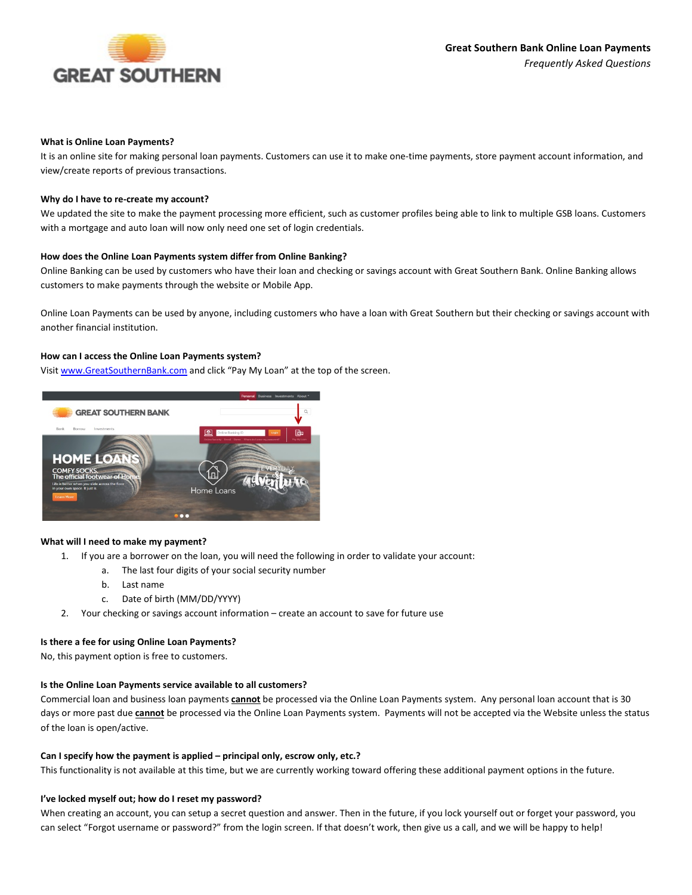

#### **What is Online Loan Payments?**

It is an online site for making personal loan payments. Customers can use it to make one-time payments, store payment account information, and view/create reports of previous transactions.

#### **Why do I have to re-create my account?**

We updated the site to make the payment processing more efficient, such as customer profiles being able to link to multiple GSB loans. Customers with a mortgage and auto loan will now only need one set of login credentials.

#### **How does the Online Loan Payments system differ from Online Banking?**

Online Banking can be used by customers who have their loan and checking or savings account with Great Southern Bank. Online Banking allows customers to make payments through the website or Mobile App.

Online Loan Payments can be used by anyone, including customers who have a loan with Great Southern but their checking or savings account with another financial institution.

## **How can I access the Online Loan Payments system?**

Visit [www.GreatSouthernBank.com](http://www.greatsouthernbank.com/) and click "Pay My Loan" at the top of the screen.



### **What will I need to make my payment?**

- 1. If you are a borrower on the loan, you will need the following in order to validate your account:
	- a. The last four digits of your social security number
	- b. Last name
	- c. Date of birth (MM/DD/YYYY)
- 2. Your checking or savings account information create an account to save for future use

### **Is there a fee for using Online Loan Payments?**

No, this payment option is free to customers.

### **Is the Online Loan Payments service available to all customers?**

Commercial loan and business loan payments **cannot** be processed via the Online Loan Payments system. Any personal loan account that is 30 days or more past due **cannot** be processed via the Online Loan Payments system. Payments will not be accepted via the Website unless the status of the loan is open/active.

#### **Can I specify how the payment is applied – principal only, escrow only, etc.?**

This functionality is not available at this time, but we are currently working toward offering these additional payment options in the future.

#### **I've locked myself out; how do I reset my password?**

When creating an account, you can setup a secret question and answer. Then in the future, if you lock yourself out or forget your password, you can select "Forgot username or password?" from the login screen. If that doesn't work, then give us a call, and we will be happy to help!